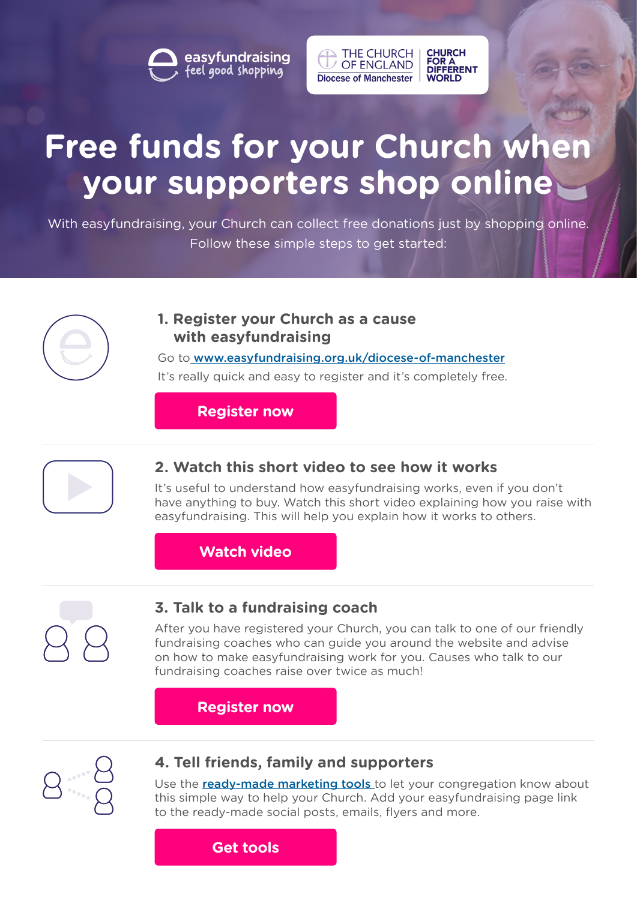easyfundraising<br>feel good shopping



# **Free funds for your Church when your supporters shop online**

With easyfundraising, your Church can collect free donations just by shopping online. Follow these simple steps to get started:

## **1. Register your Church as a cause with easyfundraising**

Go to [www.easyfundraising.org.uk/diocese-of-manchester](http:/www.easyfundraising.org.uk/diocese-of-manchester) It's really quick and easy to register and it's completely free.

**[Register now](http://www.easyfundraising.org.uk/diocese-of-manchester)**



# **2. Watch this short video to see how it works**

It's useful to understand how easyfundraising works, even if you don't have anything to buy. Watch this short video explaining how you raise with easyfundraising. This will help you explain how it works to others.

## **[Watch video](http://www.youtube.com/watch?v=Ju55V39nLLs)**



## **3. Talk to a fundraising coach**

After you have registered your Church, you can talk to one of our friendly fundraising coaches who can guide you around the website and advise on how to make easyfundraising work for you. Causes who talk to our fundraising coaches raise over twice as much!

## **[Register now](http://www.easyfundraising.org.uk/diocese-of-manchester)**



### **4. Tell friends, family and supporters**

Use the **ready-made marketing tools** to let your congregation know about this simple way to help your Church. Add your easyfundraising page link to the ready-made social posts, emails, flyers and more.